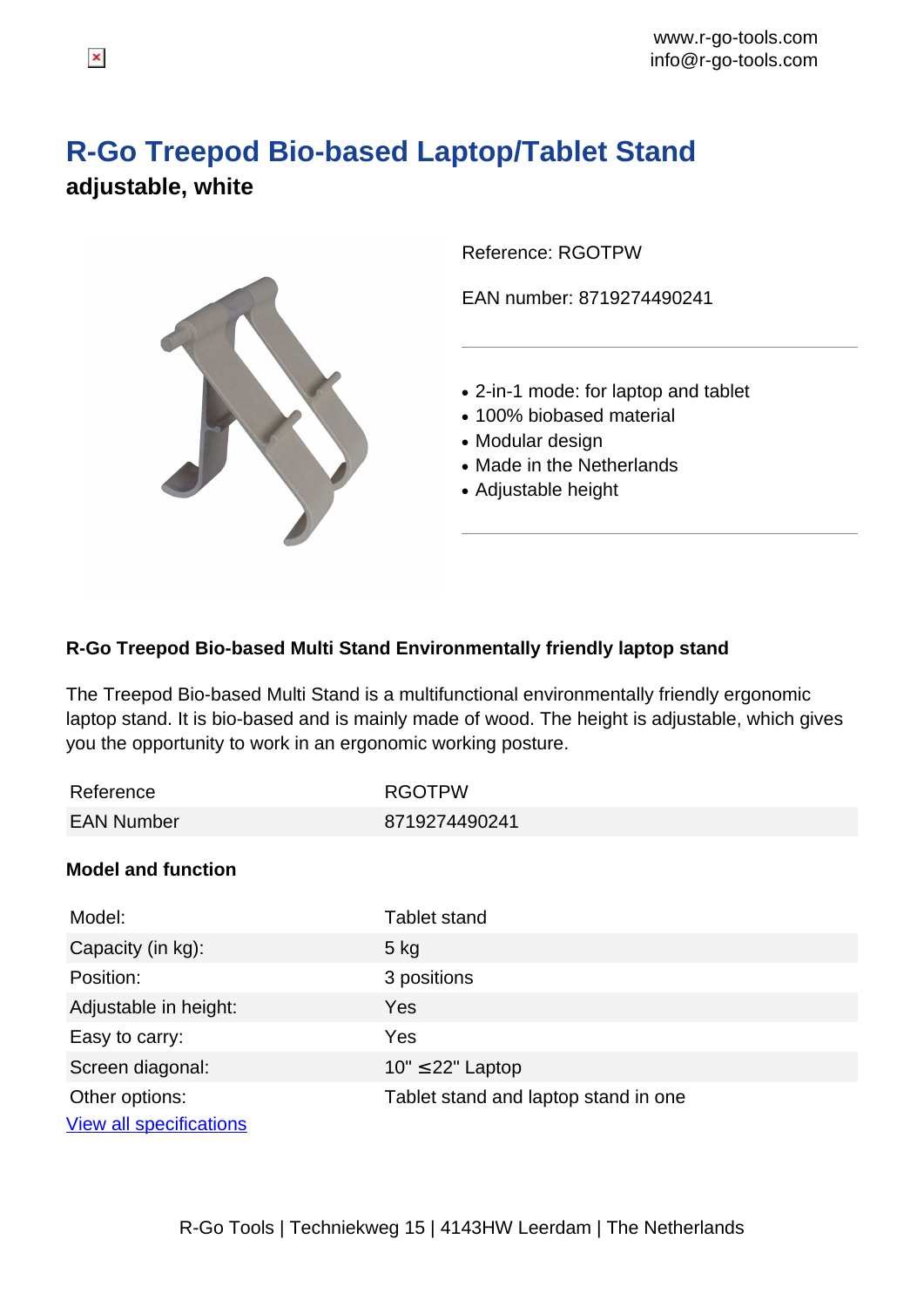## **R-Go Treepod Bio-based Laptop/Tablet Stand adjustable, white**



Reference: RGOTPW

EAN number: 8719274490241

- 2-in-1 mode: for laptop and tablet
- 100% biobased material
- Modular design
- Made in the Netherlands
- Adjustable height

## **R-Go Treepod Bio-based Multi Stand Environmentally friendly laptop stand**

The Treepod Bio-based Multi Stand is a multifunctional environmentally friendly ergonomic laptop stand. It is bio-based and is mainly made of wood. The height is adjustable, which gives you the opportunity to work in an ergonomic working posture.

| Reference                                        | <b>RGOTPW</b>                        |
|--------------------------------------------------|--------------------------------------|
| <b>EAN Number</b>                                | 8719274490241                        |
| <b>Model and function</b>                        |                                      |
| Model:                                           | <b>Tablet stand</b>                  |
| Capacity (in kg):                                | $5$ kg                               |
| Position:                                        | 3 positions                          |
| Adjustable in height:                            | <b>Yes</b>                           |
| Easy to carry:                                   | Yes                                  |
| Screen diagonal:                                 | $10" \leq 22"$ Laptop                |
| Other options:<br><b>View all specifications</b> | Tablet stand and laptop stand in one |